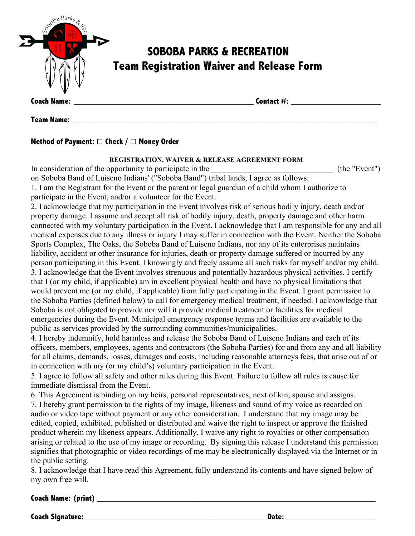

## **Method of Payment:** □ **Check /** □ **Money Order**

## **REGISTRATION, WAIVER & RELEASE AGREEMENT FORM**

| In consideration of the opportunity to participate in the                                                     | (the "Event") |
|---------------------------------------------------------------------------------------------------------------|---------------|
| on Soboba Band of Luiseno Indians' ("Soboba Band") tribal lands, I agree as follows:                          |               |
| 1. I am the Registrant for the Event or the parent or legal guardian of a child whom I authorize to           |               |
| participate in the Event, and/or a volunteer for the Event.                                                   |               |
| 2. I acknowledge that my participation in the Event involves risk of serious bodily injury, death and/or      |               |
| property damage. I assume and accept all risk of bodily injury, death, property damage and other harm         |               |
| connected with my voluntary participation in the Event. I acknowledge that I am responsible for any and all   |               |
| medical expenses due to any illness or injury I may suffer in connection with the Event. Neither the Soboba   |               |
| Sports Complex, The Oaks, the Soboba Band of Luiseno Indians, nor any of its enterprises maintains            |               |
| liability, accident or other insurance for injuries, death or property damage suffered or incurred by any     |               |
| person participating in this Event. I knowingly and freely assume all such risks for myself and/or my child.  |               |
| 3. I acknowledge that the Event involves strenuous and potentially hazardous physical activities. I certify   |               |
| that I (or my child, if applicable) am in excellent physical health and have no physical limitations that     |               |
| would prevent me (or my child, if applicable) from fully participating in the Event. I grant permission to    |               |
| the Soboba Parties (defined below) to call for emergency medical treatment, if needed. I acknowledge that     |               |
| Soboba is not obligated to provide nor will it provide medical treatment or facilities for medical            |               |
| emergencies during the Event. Municipal emergency response teams and facilities are available to the          |               |
| public as services provided by the surrounding communities/municipalities.                                    |               |
| 4. I hereby indemnify, hold harmless and release the Soboba Band of Luiseno Indians and each of its           |               |
| officers, members, employees, agents and contractors (the Soboba Parties) for and from any and all liability  |               |
| for all claims, demands, losses, damages and costs, including reasonable attorneys fees, that arise out of or |               |
| in connection with my (or my child's) voluntary participation in the Event.                                   |               |
| 5. I agree to follow all safety and other rules during this Event. Failure to follow all rules is cause for   |               |
| immediate dismissal from the Event.                                                                           |               |
| 6. This Agreement is binding on my heirs, personal representatives, next of kin, spouse and assigns.          |               |

7. I hereby grant permission to the rights of my image, likeness and sound of my voice as recorded on audio or video tape without payment or any other consideration. I understand that my image may be edited, copied, exhibited, published or distributed and waive the right to inspect or approve the finished product wherein my likeness appears. Additionally, I waive any right to royalties or other compensation arising or related to the use of my image or recording. By signing this release I understand this permission signifies that photographic or video recordings of me may be electronically displayed via the Internet or in the public setting.

8. I acknowledge that I have read this Agreement, fully understand its contents and have signed below of my own free will.

## **Coach Name: (print) \_\_\_\_\_\_\_\_\_\_\_\_\_\_\_\_\_\_\_\_\_\_\_\_\_\_\_\_\_\_\_\_\_\_\_\_\_\_\_\_\_\_\_\_\_\_\_\_\_\_\_\_\_\_\_\_\_\_\_\_\_\_**

**Coach Signature: \_\_\_\_\_\_\_\_\_\_\_\_\_\_\_\_\_\_\_\_\_\_\_\_\_\_\_\_\_\_\_\_\_\_\_\_\_\_\_\_ Date: \_\_\_\_\_\_\_\_\_\_\_\_\_\_\_\_\_\_\_\_**